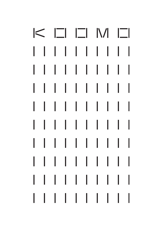# $K \Box \Box M \Box$ 11111111  $\mathbf{L}$ L 11111111  $\mathbf{L}$ I  $\mathbf{L}$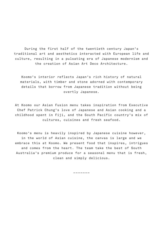During the first half of the twentieth century Japan's traditional art and aesthetics interacted with European life and culture, resulting in a pulsating era of Japanese modernism and the creation of Asian Art Deco Architecture.

Koomo's interior reflects Japan's rich history of natural materials, with timber and stone adorned with contemporary details that borrow from Japanese tradition without being overtly Japanese.

At Koomo our Asian Fusion menu takes inspiration from Executive Chef Patrick Chung's love of Japanese and Asian cooking and a childhood spent in Fiji, and the South Pacific country's mix of cultures, cuisines and fresh seafood.

Koomo's menu is heavily inspired by Japanese cuisine however, in the world of Asian cuisine, the canvas is large and we embrace this at Koomo. We present food that inspires, intrigues and comes from the heart. The team take the best of South Australia's premium produce for a seasonal menu that is fresh, clean and simply delicious.

–––––––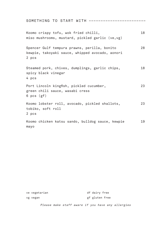| SOMETHING TO START WITH ----------------                                                                 |    |
|----------------------------------------------------------------------------------------------------------|----|
| Koomo crispy tofu, wok fried chilli,<br>miso mushrooms, mustard, pickled garlic (ve,vg)                  | 18 |
| Spencer Gulf tempura prawns, perilla, bonito<br>kewpie, takoyaki sauce, whipped avocado, aonori<br>2 pcs | 28 |
| Steamed pork, chives, dumplings, garlic chips,<br>spicy black vinegar<br>4 pcs                           | 18 |
| Port Lincoln kingfish, pickled cucumber,<br>green chili sauce, wasabi cress<br>6 pcs (gf)                | 23 |
| Koomo lobster roll, avocado, pickled shallots,<br>tobiko, soft roll<br>2 pcs                             | 23 |
| Koomo chicken katsu sando, bulldog sauce, kewpie<br>mayo                                                 | 19 |

| ve vegetarian | df dairy free                                     |
|---------------|---------------------------------------------------|
| vg vegan      | gf gluten free                                    |
|               | Please make staff aware if you have any allergies |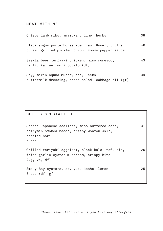| MEAT WITH ME ----------                                                                               |    |
|-------------------------------------------------------------------------------------------------------|----|
| Crispy lamb ribs, amazu-an, lime, herbs                                                               | 38 |
| Black angus porterhouse 250, cauliflower, truffle<br>puree, grilled pickled onion, Koomo pepper sauce | 46 |
| Saskia beer teriyaki chicken, miso romesco,<br>garlic kailan, nori potato (df)                        | 43 |
| Soy, mirin aquna murray cod, leeks,<br>buttermilk dressing, cress salad, cabbage oil (gf)             | 39 |

# CHEF'S SPECIALTIES ––––––––––––––––––––––––––––– Seared Japanese scallops, miso buttered corn, dairyman smoked bacon, crispy wonton skin, roasted nori 5 pcs 31 Grilled teriyaki eggplant, black kale, tofu dip, fried garlic oyster mushroom, crispy bits (vg, ve, df) 25 Smoky Bay oysters, soy yuzu kosho, lemon 6 pcs (df, gf) 25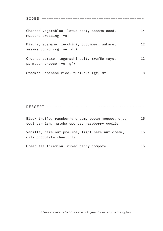| Charred vegetables, lotus root, sesame seed,<br>mustard dressing (ve)     | 14 |
|---------------------------------------------------------------------------|----|
| Mizuna, edamame, zucchini, cucumber, wakame,<br>sesame ponzu (vg, ve, df) | 12 |
| Crushed potato, togarashi salt, truffle mayo,<br>parmesan cheese (ve, gf) | 12 |
| Steamed Japanese rice, furikake (gf, df)                                  | 8  |

SIDES –––––––––––––––––––––––––––––––––––––––––––

DESSERT –––––––––––––––––––––––––––––––––––––––––

| Black truffle, raspberry cream, pecan mousse, choc<br>soul garnish, matcha sponge, raspberry coulis | 15 |
|-----------------------------------------------------------------------------------------------------|----|
| Vanilla, hazelnut praline, light hazelnut cream,<br>milk chocolate chantilly                        | 15 |
| Green tea tiramisu, mixed berry compote                                                             | 15 |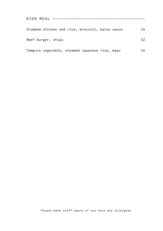| KIDS MEAL -------------                         |    |
|-------------------------------------------------|----|
| Crumbed chicken and rice, broccoli, katsu sauce | 15 |
| Beef burger, chips                              | 12 |
| Tempura vegetable, steamed Japanese rice, mayo  | 15 |